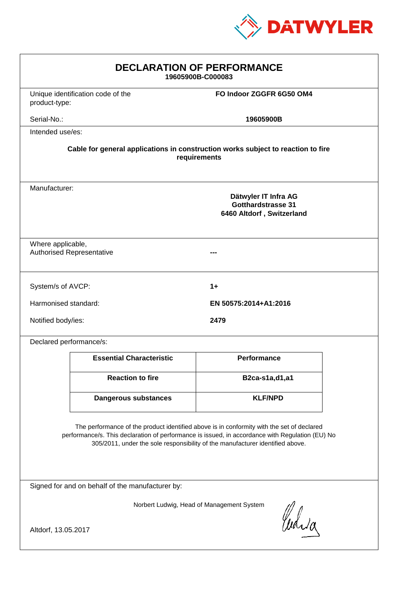

| <b>DECLARATION OF PERFORMANCE</b><br>19605900B-C000083                                                                                                                                                                                                                        |                                   |                                                                                |  |  |
|-------------------------------------------------------------------------------------------------------------------------------------------------------------------------------------------------------------------------------------------------------------------------------|-----------------------------------|--------------------------------------------------------------------------------|--|--|
| product-type:                                                                                                                                                                                                                                                                 | Unique identification code of the | FO Indoor ZGGFR 6G50 OM4                                                       |  |  |
| Serial-No.:                                                                                                                                                                                                                                                                   |                                   | 19605900B                                                                      |  |  |
| Intended use/es:                                                                                                                                                                                                                                                              |                                   |                                                                                |  |  |
| Cable for general applications in construction works subject to reaction to fire<br>requirements                                                                                                                                                                              |                                   |                                                                                |  |  |
| Manufacturer:                                                                                                                                                                                                                                                                 |                                   | Dätwyler IT Infra AG<br><b>Gotthardstrasse 31</b><br>6460 Altdorf, Switzerland |  |  |
| Where applicable,                                                                                                                                                                                                                                                             | <b>Authorised Representative</b>  |                                                                                |  |  |
| System/s of AVCP:                                                                                                                                                                                                                                                             |                                   | $1+$                                                                           |  |  |
| Harmonised standard:                                                                                                                                                                                                                                                          |                                   | EN 50575:2014+A1:2016                                                          |  |  |
| Notified body/ies:                                                                                                                                                                                                                                                            |                                   | 2479                                                                           |  |  |
| Declared performance/s:                                                                                                                                                                                                                                                       |                                   |                                                                                |  |  |
|                                                                                                                                                                                                                                                                               | <b>Essential Characteristic</b>   | <b>Performance</b>                                                             |  |  |
|                                                                                                                                                                                                                                                                               | <b>Reaction to fire</b>           | B2ca-s1a,d1,a1                                                                 |  |  |
|                                                                                                                                                                                                                                                                               | <b>Dangerous substances</b>       | <b>KLF/NPD</b>                                                                 |  |  |
| The performance of the product identified above is in conformity with the set of declared<br>performance/s. This declaration of performance is issued, in accordance with Regulation (EU) No<br>305/2011, under the sole responsibility of the manufacturer identified above. |                                   |                                                                                |  |  |
| Signed for and on behalf of the manufacturer by:                                                                                                                                                                                                                              |                                   |                                                                                |  |  |
| Norbert Ludwig, Head of Management System<br>Which                                                                                                                                                                                                                            |                                   |                                                                                |  |  |
| Altdorf, 13.05.2017                                                                                                                                                                                                                                                           |                                   |                                                                                |  |  |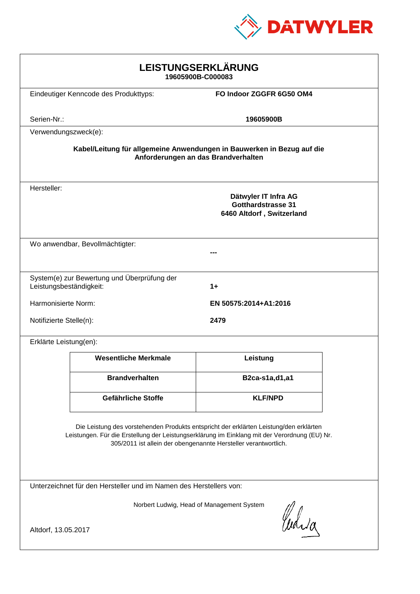

| LEISTUNGSERKLÄRUNG<br>19605900B-C000083                                                                                                                                                                                                                    |                                             |                                                                         |  |  |
|------------------------------------------------------------------------------------------------------------------------------------------------------------------------------------------------------------------------------------------------------------|---------------------------------------------|-------------------------------------------------------------------------|--|--|
|                                                                                                                                                                                                                                                            | Eindeutiger Kenncode des Produkttyps:       | FO Indoor ZGGFR 6G50 OM4                                                |  |  |
| Serien-Nr.:                                                                                                                                                                                                                                                |                                             | 19605900B                                                               |  |  |
| Verwendungszweck(e):                                                                                                                                                                                                                                       |                                             |                                                                         |  |  |
| Kabel/Leitung für allgemeine Anwendungen in Bauwerken in Bezug auf die<br>Anforderungen an das Brandverhalten                                                                                                                                              |                                             |                                                                         |  |  |
| Hersteller:                                                                                                                                                                                                                                                |                                             | Dätwyler IT Infra AG<br>Gotthardstrasse 31<br>6460 Altdorf, Switzerland |  |  |
| Wo anwendbar, Bevollmächtigter:                                                                                                                                                                                                                            |                                             |                                                                         |  |  |
|                                                                                                                                                                                                                                                            |                                             |                                                                         |  |  |
| Leistungsbeständigkeit:                                                                                                                                                                                                                                    | System(e) zur Bewertung und Überprüfung der | $1+$                                                                    |  |  |
| Harmonisierte Norm:                                                                                                                                                                                                                                        |                                             | EN 50575:2014+A1:2016                                                   |  |  |
| Notifizierte Stelle(n):<br>2479                                                                                                                                                                                                                            |                                             |                                                                         |  |  |
| Erklärte Leistung(en):                                                                                                                                                                                                                                     |                                             |                                                                         |  |  |
|                                                                                                                                                                                                                                                            | <b>Wesentliche Merkmale</b>                 | Leistung                                                                |  |  |
|                                                                                                                                                                                                                                                            | <b>Brandverhalten</b>                       | B2ca-s1a,d1,a1                                                          |  |  |
|                                                                                                                                                                                                                                                            | Gefährliche Stoffe                          | <b>KLF/NPD</b>                                                          |  |  |
| Die Leistung des vorstehenden Produkts entspricht der erklärten Leistung/den erklärten<br>Leistungen. Für die Erstellung der Leistungserklärung im Einklang mit der Verordnung (EU) Nr.<br>305/2011 ist allein der obengenannte Hersteller verantwortlich. |                                             |                                                                         |  |  |
| Unterzeichnet für den Hersteller und im Namen des Herstellers von:                                                                                                                                                                                         |                                             |                                                                         |  |  |
| Norbert Ludwig, Head of Management System<br>Waia<br>Altdorf, 13.05.2017                                                                                                                                                                                   |                                             |                                                                         |  |  |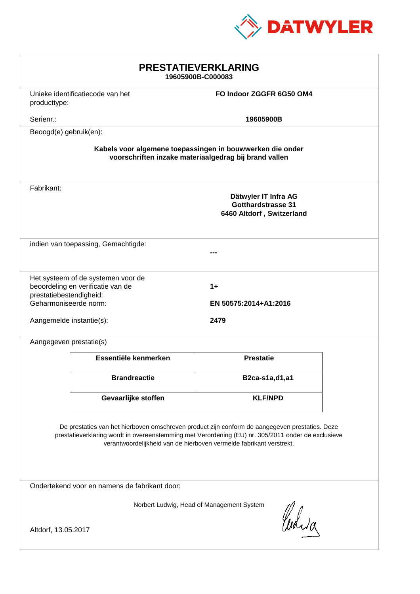

| <b>PRESTATIEVERKLARING</b><br>19605900B-C000083                                                                                                                                                                                                                             |                                  |                                                                                |  |  |
|-----------------------------------------------------------------------------------------------------------------------------------------------------------------------------------------------------------------------------------------------------------------------------|----------------------------------|--------------------------------------------------------------------------------|--|--|
| producttype:                                                                                                                                                                                                                                                                | Unieke identificatiecode van het | FO Indoor ZGGFR 6G50 OM4                                                       |  |  |
| Serienr.:                                                                                                                                                                                                                                                                   |                                  | 19605900B                                                                      |  |  |
| Beoogd(e) gebruik(en):                                                                                                                                                                                                                                                      |                                  |                                                                                |  |  |
| Kabels voor algemene toepassingen in bouwwerken die onder<br>voorschriften inzake materiaalgedrag bij brand vallen                                                                                                                                                          |                                  |                                                                                |  |  |
| Fabrikant:                                                                                                                                                                                                                                                                  |                                  | Dätwyler IT Infra AG<br><b>Gotthardstrasse 31</b><br>6460 Altdorf, Switzerland |  |  |
| indien van toepassing, Gemachtigde:                                                                                                                                                                                                                                         |                                  |                                                                                |  |  |
| Het systeem of de systemen voor de<br>beoordeling en verificatie van de<br>$1+$<br>prestatiebestendigheid:<br>Geharmoniseerde norm:<br>EN 50575:2014+A1:2016<br>2479<br>Aangemelde instantie(s):                                                                            |                                  |                                                                                |  |  |
| Aangegeven prestatie(s)                                                                                                                                                                                                                                                     |                                  |                                                                                |  |  |
|                                                                                                                                                                                                                                                                             | Essentiële kenmerken             | <b>Prestatie</b>                                                               |  |  |
|                                                                                                                                                                                                                                                                             | <b>Brandreactie</b>              | B2ca-s1a,d1,a1                                                                 |  |  |
|                                                                                                                                                                                                                                                                             | Gevaarlijke stoffen              | <b>KLF/NPD</b>                                                                 |  |  |
| De prestaties van het hierboven omschreven product zijn conform de aangegeven prestaties. Deze<br>prestatieverklaring wordt in overeenstemming met Verordening (EU) nr. 305/2011 onder de exclusieve<br>verantwoordelijkheid van de hierboven vermelde fabrikant verstrekt. |                                  |                                                                                |  |  |
| Ondertekend voor en namens de fabrikant door:                                                                                                                                                                                                                               |                                  |                                                                                |  |  |
| Norbert Ludwig, Head of Management System<br>Curia<br>Altdorf, 13.05.2017                                                                                                                                                                                                   |                                  |                                                                                |  |  |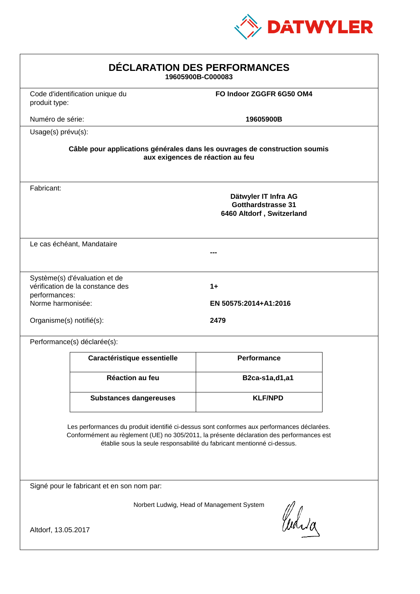

| DÉCLARATION DES PERFORMANCES<br>19605900B-C000083                                                                                                                                                                                                                |                                                                                                                |                                                                                |  |  |  |
|------------------------------------------------------------------------------------------------------------------------------------------------------------------------------------------------------------------------------------------------------------------|----------------------------------------------------------------------------------------------------------------|--------------------------------------------------------------------------------|--|--|--|
| produit type:                                                                                                                                                                                                                                                    | Code d'identification unique du                                                                                | FO Indoor ZGGFR 6G50 OM4                                                       |  |  |  |
| Numéro de série:                                                                                                                                                                                                                                                 |                                                                                                                | 19605900B                                                                      |  |  |  |
|                                                                                                                                                                                                                                                                  | Usage(s) prévu(s):                                                                                             |                                                                                |  |  |  |
|                                                                                                                                                                                                                                                                  | Câble pour applications générales dans les ouvrages de construction soumis<br>aux exigences de réaction au feu |                                                                                |  |  |  |
| Fabricant:                                                                                                                                                                                                                                                       |                                                                                                                | Dätwyler IT Infra AG<br><b>Gotthardstrasse 31</b><br>6460 Altdorf, Switzerland |  |  |  |
|                                                                                                                                                                                                                                                                  | Le cas échéant, Mandataire                                                                                     |                                                                                |  |  |  |
| performances:<br>Norme harmonisée:<br>Organisme(s) notifié(s):                                                                                                                                                                                                   | Système(s) d'évaluation et de<br>vérification de la constance des                                              | $1+$<br>EN 50575:2014+A1:2016<br>2479                                          |  |  |  |
|                                                                                                                                                                                                                                                                  | Performance(s) déclarée(s):                                                                                    |                                                                                |  |  |  |
|                                                                                                                                                                                                                                                                  | Caractéristique essentielle                                                                                    | <b>Performance</b>                                                             |  |  |  |
|                                                                                                                                                                                                                                                                  | Réaction au feu                                                                                                | B2ca-s1a,d1,a1                                                                 |  |  |  |
|                                                                                                                                                                                                                                                                  | <b>Substances dangereuses</b>                                                                                  | <b>KLF/NPD</b>                                                                 |  |  |  |
| Les performances du produit identifié ci-dessus sont conformes aux performances déclarées.<br>Conformément au règlement (UE) no 305/2011, la présente déclaration des performances est<br>établie sous la seule responsabilité du fabricant mentionné ci-dessus. |                                                                                                                |                                                                                |  |  |  |
|                                                                                                                                                                                                                                                                  | Signé pour le fabricant et en son nom par:                                                                     |                                                                                |  |  |  |
| Norbert Ludwig, Head of Management System<br>Which                                                                                                                                                                                                               |                                                                                                                |                                                                                |  |  |  |
| Altdorf, 13.05.2017                                                                                                                                                                                                                                              |                                                                                                                |                                                                                |  |  |  |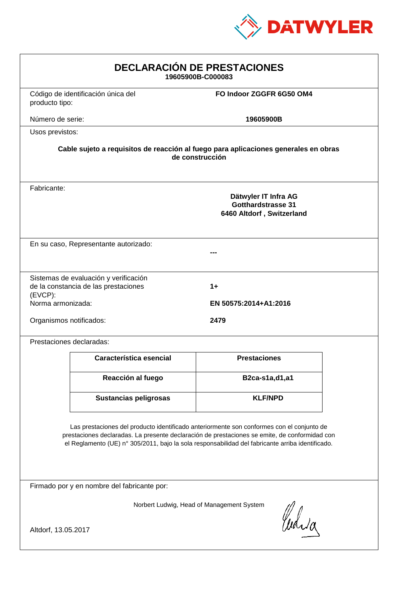

| <b>DECLARACIÓN DE PRESTACIONES</b><br>19605900B-C000083                                                                                                                                                                                                                                        |                                                                               |                             |  |  |
|------------------------------------------------------------------------------------------------------------------------------------------------------------------------------------------------------------------------------------------------------------------------------------------------|-------------------------------------------------------------------------------|-----------------------------|--|--|
| producto tipo:                                                                                                                                                                                                                                                                                 | Código de identificación única del                                            | FO Indoor ZGGFR 6G50 OM4    |  |  |
| Número de serie:                                                                                                                                                                                                                                                                               |                                                                               | 19605900B                   |  |  |
| Usos previstos:                                                                                                                                                                                                                                                                                |                                                                               |                             |  |  |
| Cable sujeto a requisitos de reacción al fuego para aplicaciones generales en obras<br>de construcción                                                                                                                                                                                         |                                                                               |                             |  |  |
| Fabricante:                                                                                                                                                                                                                                                                                    | Dätwyler IT Infra AG<br>Gotthardstrasse 31<br>6460 Altdorf, Switzerland       |                             |  |  |
|                                                                                                                                                                                                                                                                                                | En su caso, Representante autorizado:                                         |                             |  |  |
| $(EVCP)$ :<br>Norma armonizada:                                                                                                                                                                                                                                                                | Sistemas de evaluación y verificación<br>de la constancia de las prestaciones | 1+<br>EN 50575:2014+A1:2016 |  |  |
| Organismos notificados:<br>2479                                                                                                                                                                                                                                                                |                                                                               |                             |  |  |
|                                                                                                                                                                                                                                                                                                | Prestaciones declaradas:                                                      |                             |  |  |
|                                                                                                                                                                                                                                                                                                | Característica esencial                                                       | <b>Prestaciones</b>         |  |  |
|                                                                                                                                                                                                                                                                                                | Reacción al fuego                                                             | B2ca-s1a,d1,a1              |  |  |
|                                                                                                                                                                                                                                                                                                | Sustancias peligrosas                                                         | <b>KLF/NPD</b>              |  |  |
| Las prestaciones del producto identificado anteriormente son conformes con el conjunto de<br>prestaciones declaradas. La presente declaración de prestaciones se emite, de conformidad con<br>el Reglamento (UE) nº 305/2011, bajo la sola responsabilidad del fabricante arriba identificado. |                                                                               |                             |  |  |
| Firmado por y en nombre del fabricante por:                                                                                                                                                                                                                                                    |                                                                               |                             |  |  |
| Norbert Ludwig, Head of Management System<br>Curia                                                                                                                                                                                                                                             |                                                                               |                             |  |  |
| Altdorf, 13.05.2017                                                                                                                                                                                                                                                                            |                                                                               |                             |  |  |